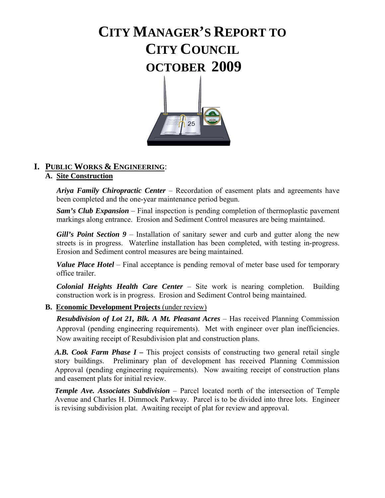# **CITY MANAGER'S REPORT TO CITY COUNCIL OCTOBER 2009**



# **I. PUBLIC WORKS & ENGINEERING**:

#### **A. Site Construction**

*Ariya Family Chiropractic Center* – Recordation of easement plats and agreements have been completed and the one-year maintenance period begun.

*Sam's Club Expansion* – Final inspection is pending completion of thermoplastic pavement markings along entrance. Erosion and Sediment Control measures are being maintained.

*Gill's Point Section 9 –* Installation of sanitary sewer and curb and gutter along the new streets is in progress. Waterline installation has been completed, with testing in-progress. Erosion and Sediment control measures are being maintained.

*Value Place Hotel* – Final acceptance is pending removal of meter base used for temporary office trailer.

*Colonial Heights Health Care Center* – Site work is nearing completion. Building construction work is in progress. Erosion and Sediment Control being maintained.

#### **B. Economic Development Projects** (under review)

**Resubdivision of Lot 21, Blk. A Mt. Pleasant Acres – Has received Planning Commission** Approval (pending engineering requirements). Met with engineer over plan inefficiencies. Now awaiting receipt of Resubdivision plat and construction plans.

*A.B. Cook Farm Phase I –* This project consists of constructing two general retail single story buildings. Preliminary plan of development has received Planning Commission Approval (pending engineering requirements). Now awaiting receipt of construction plans and easement plats for initial review.

*Temple Ave. Associates Subdivision* – Parcel located north of the intersection of Temple Avenue and Charles H. Dimmock Parkway. Parcel is to be divided into three lots. Engineer is revising subdivision plat. Awaiting receipt of plat for review and approval.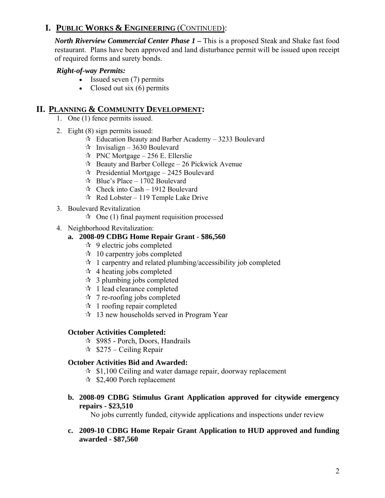*North Riverview Commercial Center Phase 1 –* This is a proposed Steak and Shake fast food restaurant. Plans have been approved and land disturbance permit will be issued upon receipt of required forms and surety bonds.

#### *Right-of-way Permits:*

- Issued seven (7) permits
- Closed out six (6) permits

### **II. PLANNING & COMMUNITY DEVELOPMENT:**

- 1. One (1) fence permits issued.
- 2. Eight (8) sign permits issued:
	- $\overrightarrow{x}$  Education Beauty and Barber Academy 3233 Boulevard
	- $\approx$  Invisalign 3630 Boulevard
	- $\approx$  PNC Mortgage 256 E. Ellerslie
	- $\approx$  Beauty and Barber College 26 Pickwick Avenue
	- $\approx$  Presidential Mortgage 2425 Boulevard
	- $\approx$  Blue's Place 1702 Boulevard
	- $\approx$  Check into Cash 1912 Boulevard
	- $\approx$  Red Lobster 119 Temple Lake Drive
- 3. Boulevard Revitalization
	- $\hat{\mathbf{x}}$  One (1) final payment requisition processed
- 4. Neighborhood Revitalization:

#### **a. 2008-09 CDBG Home Repair Grant - \$86,560**

- $\approx$  9 electric jobs completed
- $\approx$  10 carpentry jobs completed
- $\hat{X}$  1 carpentry and related plumbing/accessibility job completed
- $\star$  4 heating jobs completed
- $\approx$  3 plumbing jobs completed
- $\star$  1 lead clearance completed
- $\star$  7 re-roofing jobs completed
- $\approx$  1 roofing repair completed
- $\approx$  13 new households served in Program Year

#### **October Activities Completed:**

- $\approx$  \$985 Porch, Doors, Handrails
- $\approx$  \$275 Ceiling Repair

#### **October Activities Bid and Awarded:**

- $\approx$  \$1,100 Ceiling and water damage repair, doorway replacement
- $\approx$  \$2,400 Porch replacement
- **b. 2008-09 CDBG Stimulus Grant Application approved for citywide emergency repairs - \$23,510**

No jobs currently funded, citywide applications and inspections under review

**c. 2009-10 CDBG Home Repair Grant Application to HUD approved and funding awarded - \$87,560**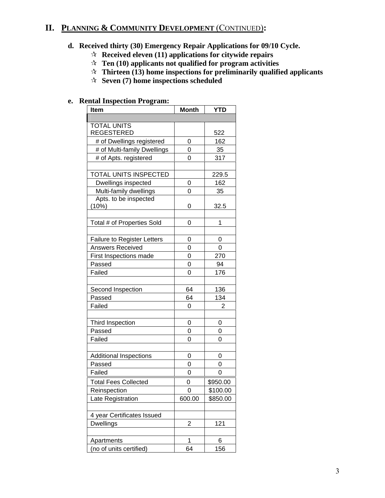# **II. PLANNING & COMMUNITY DEVELOPMENT** (CONTINUED)**:**

# **d. Received thirty (30) Emergency Repair Applications for 09/10 Cycle.**

- **Received eleven (11) applications for citywide repairs**
- **Ten (10) applicants not qualified for program activities**
- **Thirteen (13) home inspections for preliminarily qualified applicants**
- **Seven (7) home inspections scheduled**

#### **e. Rental Inspection Program:**

| <b>Item</b>                        | <b>Month</b> | <b>YTD</b> |
|------------------------------------|--------------|------------|
|                                    |              |            |
| <b>TOTAL UNITS</b>                 |              |            |
| <b>REGESTERED</b>                  |              | 522        |
| # of Dwellings registered          | 0            | 162        |
| # of Multi-family Dwellings        | 0            | 35         |
| # of Apts. registered              | 0            | 317        |
|                                    |              |            |
| TOTAL UNITS INSPECTED              |              | 229.5      |
| Dwellings inspected                | 0            | 162        |
| Multi-family dwellings             | $\mathbf 0$  | 35         |
| Apts. to be inspected              |              |            |
| (10%)                              | 0            | 32.5       |
|                                    |              |            |
| Total # of Properties Sold         | 0            | 1          |
|                                    |              |            |
| <b>Failure to Register Letters</b> | 0            | 0          |
| Answers Received                   | 0            | 0          |
| First Inspections made             | 0            | 270        |
| Passed                             | 0            | 94         |
| Failed                             | 0            | 176        |
|                                    |              |            |
| Second Inspection                  | 64           | 136        |
| Passed                             | 64           | 134        |
| Failed                             | 0            | 2          |
|                                    |              |            |
| Third Inspection                   | 0            | 0          |
| Passed                             | 0            | 0          |
| Failed                             | 0            | 0          |
|                                    |              |            |
| <b>Additional Inspections</b>      | 0            | 0          |
| Passed                             | 0            | 0          |
| Failed                             | 0            | 0          |
| <b>Total Fees Collected</b>        | 0            | \$950.00   |
| Reinspection                       | 0            | \$100.00   |
| Late Registration                  | 600.00       | \$850.00   |
|                                    |              |            |
| 4 year Certificates Issued         |              |            |
| Dwellings                          | 2            | 121        |
|                                    |              |            |
| Apartments                         | 1            | 6          |
| (no of units certified)            | 64           | 156        |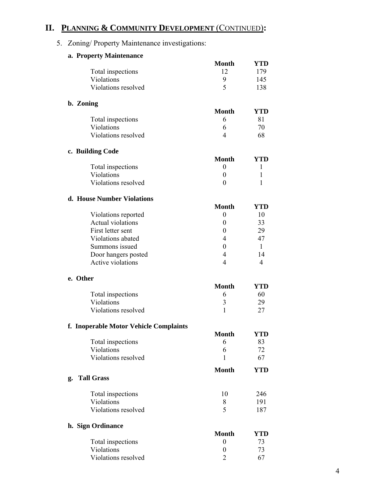# **II. PLANNING & COMMUNITY DEVELOPMENT** (CONTINUED)**:**

# 5. Zoning/ Property Maintenance investigations:

|          | a. Property Maintenance                |                                  |              |
|----------|----------------------------------------|----------------------------------|--------------|
|          |                                        | <b>Month</b>                     | YTD          |
|          | Total inspections                      | 12                               | 179          |
|          | Violations                             | 9                                | 145          |
|          | Violations resolved                    | 5                                | 138          |
|          |                                        |                                  |              |
|          | b. Zoning                              |                                  |              |
|          |                                        | <b>Month</b>                     | <b>YTD</b>   |
|          | Total inspections                      | 6                                | 81           |
|          | Violations                             | 6                                | 70           |
|          | Violations resolved                    | 4                                | 68           |
|          | c. Building Code                       |                                  |              |
|          |                                        | <b>Month</b>                     | YTD          |
|          | Total inspections                      | $\boldsymbol{0}$                 | 1            |
|          | Violations                             | $\boldsymbol{0}$                 | 1            |
|          | Violations resolved                    | $\theta$                         | 1            |
|          | d. House Number Violations             |                                  |              |
|          |                                        | <b>Month</b>                     | <b>YTD</b>   |
|          | Violations reported                    | $\boldsymbol{0}$                 | 10           |
|          | <b>Actual violations</b>               | 0                                | 33           |
|          | First letter sent                      | $\theta$                         | 29           |
|          | Violations abated                      | 4                                | 47           |
|          | Summons issued                         | 0                                | $\mathbf{1}$ |
|          | Door hangers posted                    | 4                                | 14           |
|          | Active violations                      | 4                                | 4            |
| e. Other |                                        |                                  |              |
|          |                                        | <b>Month</b>                     | YTD          |
|          | Total inspections                      | 6                                | 60           |
|          | Violations                             | 3                                | 29           |
|          | Violations resolved                    | 1                                | 27           |
|          |                                        |                                  |              |
|          | f. Inoperable Motor Vehicle Complaints | Month                            | YTD          |
|          | Total inspections                      | 6                                | 83           |
|          | Violations                             | 6                                | 72           |
|          | Violations resolved                    | 1                                | 67           |
|          |                                        | <b>Month</b>                     | <b>YTD</b>   |
| g.       | <b>Tall Grass</b>                      |                                  |              |
|          | Total inspections                      | 10                               | 246          |
|          | Violations                             | 8                                | 191          |
|          | Violations resolved                    | 5                                | 187          |
|          |                                        |                                  |              |
|          | h. Sign Ordinance                      |                                  |              |
|          |                                        | <b>Month</b><br>$\boldsymbol{0}$ | YTD<br>73    |
|          | Total inspections<br>Violations        |                                  |              |
|          | Violations resolved                    | $\boldsymbol{0}$<br>2            | 73<br>67     |
|          |                                        |                                  |              |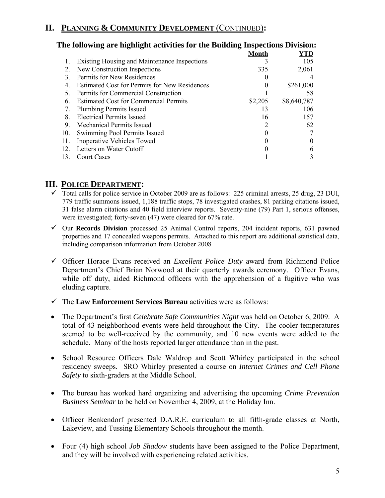# **II. PLANNING & COMMUNITY DEVELOPMENT** (CONTINUED)**:**

|     | The following are ingilinglic activities for the building filspections Division. |              |             |
|-----|----------------------------------------------------------------------------------|--------------|-------------|
|     |                                                                                  | <b>Month</b> | YTD         |
|     | <b>Existing Housing and Maintenance Inspections</b>                              |              | 105         |
| 2.  | New Construction Inspections                                                     | 335          | 2,061       |
| 3.  | Permits for New Residences                                                       |              |             |
| 4.  | Estimated Cost for Permits for New Residences                                    | 0            | \$261,000   |
| 5.  | Permits for Commercial Construction                                              |              | 58          |
| 6.  | <b>Estimated Cost for Commercial Permits</b>                                     | \$2,205      | \$8,640,787 |
| 7.  | <b>Plumbing Permits Issued</b>                                                   | 13           | 106         |
| 8.  | <b>Electrical Permits Issued</b>                                                 | 16           | 157         |
| 9.  | <b>Mechanical Permits Issued</b>                                                 | 2            | 62          |
| 10. | Swimming Pool Permits Issued                                                     |              |             |
| 11. | <b>Inoperative Vehicles Towed</b>                                                |              |             |
| 12. | Letters on Water Cutoff                                                          |              |             |
| 13. | <b>Court Cases</b>                                                               |              |             |
|     |                                                                                  |              |             |

# **The following are highlight activities for the Building Inspections Division:**

#### **III. POLICE DEPARTMENT:**

- $\checkmark$  Total calls for police service in October 2009 are as follows: 225 criminal arrests, 25 drug, 23 DUI, 779 traffic summons issued, 1,188 traffic stops, 78 investigated crashes, 81 parking citations issued, 31 false alarm citations and 40 field interview reports. Seventy-nine (79) Part 1, serious offenses, were investigated; forty-seven (47) were cleared for 67% rate.
- 9 Our **Records Division** processed 25 Animal Control reports, 204 incident reports, 631 pawned properties and 17 concealed weapons permits. Attached to this report are additional statistical data, including comparison information from October 2008
- 9 Officer Horace Evans received an *Excellent Police Duty* award from Richmond Police Department's Chief Brian Norwood at their quarterly awards ceremony. Officer Evans, while off duty, aided Richmond officers with the apprehension of a fugitive who was eluding capture.
- $\checkmark$  The **Law Enforcement Services Bureau** activities were as follows:
- The Department's first *Celebrate Safe Communities Night* was held on October 6, 2009. A total of 43 neighborhood events were held throughout the City. The cooler temperatures seemed to be well-received by the community, and 10 new events were added to the schedule. Many of the hosts reported larger attendance than in the past.
- School Resource Officers Dale Waldrop and Scott Whirley participated in the school residency sweeps. SRO Whirley presented a course on *Internet Crimes and Cell Phone Safety* to sixth-graders at the Middle School.
- The bureau has worked hard organizing and advertising the upcoming *Crime Prevention Business Seminar* to be held on November 4, 2009, at the Holiday Inn.
- Officer Benkendorf presented D.A.R.E. curriculum to all fifth-grade classes at North, Lakeview, and Tussing Elementary Schools throughout the month.
- Four (4) high school *Job Shadow* students have been assigned to the Police Department, and they will be involved with experiencing related activities.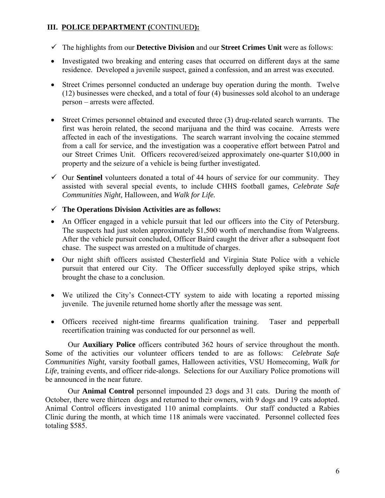#### **III. POLICE DEPARTMENT (**CONTINUED**):**

- 9 The highlights from our **Detective Division** and our **Street Crimes Unit** were as follows:
- Investigated two breaking and entering cases that occurred on different days at the same residence. Developed a juvenile suspect, gained a confession, and an arrest was executed.
- Street Crimes personnel conducted an underage buy operation during the month. Twelve (12) businesses were checked, and a total of four (4) businesses sold alcohol to an underage person – arrests were affected.
- Street Crimes personnel obtained and executed three (3) drug-related search warrants. The first was heroin related, the second marijuana and the third was cocaine. Arrests were affected in each of the investigations. The search warrant involving the cocaine stemmed from a call for service, and the investigation was a cooperative effort between Patrol and our Street Crimes Unit. Officers recovered/seized approximately one-quarter \$10,000 in property and the seizure of a vehicle is being further investigated.
- $\checkmark$  Our **Sentinel** volunteers donated a total of 44 hours of service for our community. They assisted with several special events, to include CHHS football games, *Celebrate Safe Communities Night,* Halloween, and *Walk for Life.*
- 9 **The Operations Division Activities are as follows:**
- An Officer engaged in a vehicle pursuit that led our officers into the City of Petersburg. The suspects had just stolen approximately \$1,500 worth of merchandise from Walgreens. After the vehicle pursuit concluded, Officer Baird caught the driver after a subsequent foot chase. The suspect was arrested on a multitude of charges.
- Our night shift officers assisted Chesterfield and Virginia State Police with a vehicle pursuit that entered our City. The Officer successfully deployed spike strips, which brought the chase to a conclusion.
- We utilized the City's Connect-CTY system to aide with locating a reported missing juvenile. The juvenile returned home shortly after the message was sent.
- Officers received night-time firearms qualification training. Taser and pepperball recertification training was conducted for our personnel as well.

 Our **Auxiliary Police** officers contributed 362 hours of service throughout the month. Some of the activities our volunteer officers tended to are as follows: *Celebrate Safe Communities Night,* varsity football games, Halloween activities, VSU Homecoming, *Walk for*  Life, training events, and officer ride-alongs. Selections for our Auxiliary Police promotions will be announced in the near future.

 Our **Animal Control** personnel impounded 23 dogs and 31 cats. During the month of October, there were thirteen dogs and returned to their owners, with 9 dogs and 19 cats adopted. Animal Control officers investigated 110 animal complaints. Our staff conducted a Rabies Clinic during the month, at which time 118 animals were vaccinated. Personnel collected fees totaling \$585.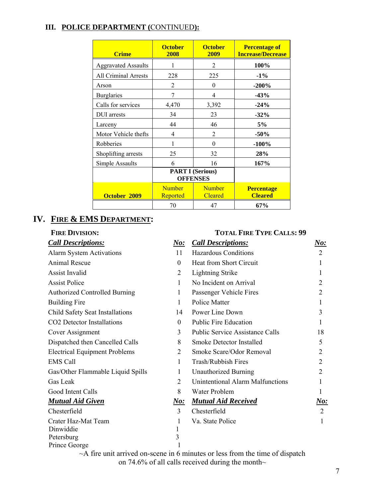#### **III. POLICE DEPARTMENT (**CONTINUED**):**

| <b>Crime</b>                | <b>October</b><br>2008                     | <b>October</b><br>2009          | <b>Percentage of</b><br><b>Increase/Decrease</b> |
|-----------------------------|--------------------------------------------|---------------------------------|--------------------------------------------------|
| <b>Aggravated Assaults</b>  |                                            | 2                               | 100%                                             |
| <b>All Criminal Arrests</b> | 228                                        | 225                             | $-1\%$                                           |
| Arson                       | $\overline{2}$                             | $\theta$                        | $-200%$                                          |
| <b>Burglaries</b>           | 7                                          | 4                               | $-43%$                                           |
| Calls for services          | 4,470                                      | 3,392                           | $-24%$                                           |
| DUI arrests                 | 34                                         | 23                              | $-32%$                                           |
| Larceny                     | 44                                         | 46                              | 5%                                               |
| Motor Vehicle thefts        | 4                                          | $\overline{2}$                  | $-50%$                                           |
| Robberies                   | 1                                          | $\theta$                        | $-100%$                                          |
| Shoplifting arrests         | 25                                         | 32                              | 28%                                              |
| Simple Assaults             | 6                                          | 16                              | 167%                                             |
|                             | <b>PART I (Serious)</b><br><b>OFFENSES</b> |                                 |                                                  |
| October 2009                | <b>Number</b><br><b>Reported</b>           | <b>Number</b><br><b>Cleared</b> | <b>Percentage</b><br><b>Cleared</b>              |
|                             | 70                                         | 47                              | 67%                                              |

# **IV. FIRE & EMS DEPARTMENT:**

#### **FIRE DIVISION: TOTAL FIRE TYPE CALLS: 99**

# *Call Descriptions: No: Call Descriptions: No:* Alarm System Activations 11 Hazardous Conditions 2 Animal Rescue 0 Heat from Short Circuit 1 Assist Invalid 1 and 2 Lightning Strike 1 Assist Police 2 1 No Incident on Arrival 2 Authorized Controlled Burning 1 Passenger Vehicle Fires 2 Building Fire 1 Police Matter 1 Police Matter 1 Child Safety Seat Installations 14 Power Line Down 3 CO2 Detector Installations 0 Public Fire Education 1 Cover Assignment 3 Public Service Assistance Calls 18 Dispatched then Cancelled Calls 8 Smoke Detector Installed 5 Electrical Equipment Problems 2 Smoke Scare/Odor Removal 2 2 EMS Call 1 Trash/Rubbish Fires 2 Gas/Other Flammable Liquid Spills 1 Unauthorized Burning 2 Gas Leak 2 Unintentional Alarm Malfunctions 1 Good Intent Calls 8 Water Problem 1 *Mutual Aid Given* No: *No: Mutual Aid Received No: No:* Chesterfield 3 Chesterfield 2 Crater Haz-Mat Team 1 Va. State Police 1 Dinwiddie 1 Petersburg 3 Prince George 1

 $\sim$ A fire unit arrived on-scene in 6 minutes or less from the time of dispatch on 74.6% of all calls received during the month $\sim$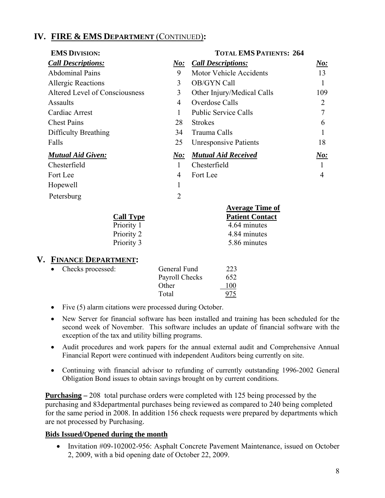# **IV. FIRE & EMS DEPARTMENT** (CONTINUED)**:**

| <b>EMS DIVISION:</b>           |                | <b>TOTAL EMS PATIENTS: 264</b> |                |
|--------------------------------|----------------|--------------------------------|----------------|
| <b>Call Descriptions:</b>      | $\bm{No:}$     | <b>Call Descriptions:</b>      | No:            |
| <b>Abdominal Pains</b>         | 9              | <b>Motor Vehicle Accidents</b> | 13             |
| <b>Allergic Reactions</b>      | 3              | OB/GYN Call                    | 1              |
| Altered Level of Consciousness | 3              | Other Injury/Medical Calls     | 109            |
| <b>Assaults</b>                | 4              | Overdose Calls                 | 2              |
| Cardiac Arrest                 | 1              | <b>Public Service Calls</b>    | $\overline{7}$ |
| <b>Chest Pains</b>             | 28             | <b>Strokes</b>                 | 6              |
| Difficulty Breathing           | 34             | Trauma Calls                   | 1              |
| Falls                          | 25             | <b>Unresponsive Patients</b>   | 18             |
| <b>Mutual Aid Given:</b>       | N o:           | <b>Mutual Aid Received</b>     | N o:           |
| Chesterfield                   | $\mathbf{1}$   | Chesterfield                   |                |
| Fort Lee                       | 4              | Fort Lee                       | 4              |
| Hopewell                       | 1              |                                |                |
| Petersburg                     | $\overline{2}$ |                                |                |
|                                |                | <b>Average Time of</b>         |                |
| <b>Call Type</b>               |                | <b>Patient Contact</b>         |                |
| Priority 1                     |                | 4.64 minutes                   |                |
| Priority 2                     |                | 4.84 minutes                   |                |
| Priority 3                     |                | 5.86 minutes                   |                |

#### **V. FINANCE DEPARTMENT:**

| $\bullet$ | Checks processed: | General Fund   | 223 |
|-----------|-------------------|----------------|-----|
|           |                   | Payroll Checks | 652 |
|           |                   | Other          | 100 |
|           |                   | Total          |     |
|           |                   |                |     |

- Five (5) alarm citations were processed during October.
- New Server for financial software has been installed and training has been scheduled for the second week of November. This software includes an update of financial software with the exception of the tax and utility billing programs.
- Audit procedures and work papers for the annual external audit and Comprehensive Annual Financial Report were continued with independent Auditors being currently on site.
- Continuing with financial advisor to refunding of currently outstanding 1996-2002 General Obligation Bond issues to obtain savings brought on by current conditions.

**Purchasing –** 208 total purchase orders were completed with 125 being processed by the purchasing and 83departmental purchases being reviewed as compared to 240 being completed for the same period in 2008. In addition 156 check requests were prepared by departments which are not processed by Purchasing.

#### **Bids Issued/Opened during the month**

• Invitation #09-102002-956: Asphalt Concrete Pavement Maintenance, issued on October 2, 2009, with a bid opening date of October 22, 2009.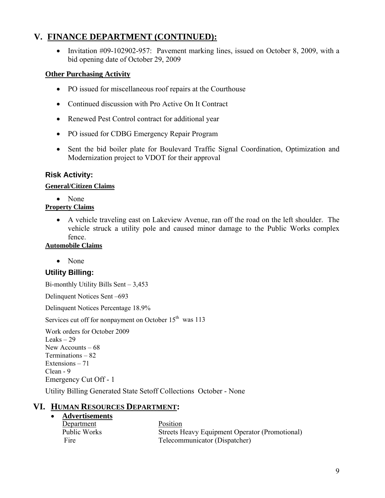# **V. FINANCE DEPARTMENT (CONTINUED):**

• Invitation #09-102902-957: Pavement marking lines, issued on October 8, 2009, with a bid opening date of October 29, 2009

#### **Other Purchasing Activity**

- PO issued for miscellaneous roof repairs at the Courthouse
- Continued discussion with Pro Active On It Contract
- Renewed Pest Control contract for additional year
- PO issued for CDBG Emergency Repair Program
- Sent the bid boiler plate for Boulevard Traffic Signal Coordination, Optimization and Modernization project to VDOT for their approval

#### **Risk Activity:**

#### **General/Citizen Claims**

• None

#### **Property Claims**

• A vehicle traveling east on Lakeview Avenue, ran off the road on the left shoulder. The vehicle struck a utility pole and caused minor damage to the Public Works complex fence.

#### **Automobile Claims**

• None

# **Utility Billing:**

Bi-monthly Utility Bills Sent – 3,453

Delinquent Notices Sent –693

Delinquent Notices Percentage 18.9%

Services cut off for nonpayment on October  $15<sup>th</sup>$  was 113

Work orders for October 2009 Leaks  $-29$ New Accounts – 68 Terminations – 82 Extensions – 71 Clean - 9 Emergency Cut Off - 1

Utility Billing Generated State Setoff Collections October - None

#### **VI. HUMAN RESOURCES DEPARTMENT:**

#### • **Advertisements**

| Department   | Position                                       |
|--------------|------------------------------------------------|
| Public Works | Streets Heavy Equipment Operator (Promotional) |
| Fire         | Telecommunicator (Dispatcher)                  |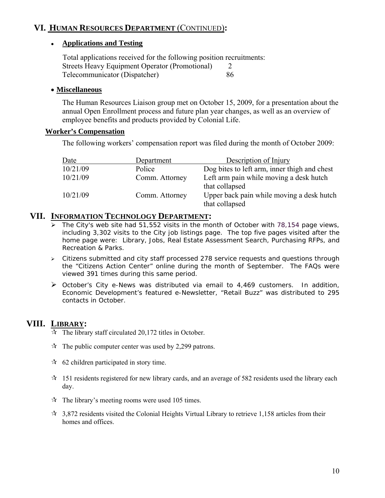# **VI. HUMAN RESOURCES DEPARTMENT** (CONTINUED)**:**

#### ● **Applications and Testing**

 Total applications received for the following position recruitments: Streets Heavy Equipment Operator (Promotional) 2 Telecommunicator (Dispatcher) 86

#### • **Miscellaneous**

The Human Resources Liaison group met on October 15, 2009, for a presentation about the annual Open Enrollment process and future plan year changes, as well as an overview of employee benefits and products provided by Colonial Life.

#### **Worker's Compensation**

The following workers' compensation report was filed during the month of October 2009:

| Date     | Department     | Description of Injury                                       |
|----------|----------------|-------------------------------------------------------------|
| 10/21/09 | Police         | Dog bites to left arm, inner thigh and chest                |
| 10/21/09 | Comm. Attorney | Left arm pain while moving a desk hutch<br>that collapsed   |
| 10/21/09 | Comm. Attorney | Upper back pain while moving a desk hutch<br>that collapsed |

#### **VII. INFORMATION TECHNOLOGY DEPARTMENT:**

- $\triangleright$  The City's web site had 51,552 visits in the month of October with 78,154 page views, including 3,302 visits to the City job listings page. The top five pages visited after the home page were: Library, Jobs, Real Estate Assessment Search, Purchasing RFPs, and Recreation & Parks.
- ¾ Citizens submitted and city staff processed 278 service requests and questions through the "Citizens Action Center" online during the month of September. The FAQs were viewed 391 times during this same period.
- $\triangleright$  October's City e-News was distributed via email to 4,469 customers. In addition, Economic Development's featured e-Newsletter, "Retail Buzz" was distributed to 295 contacts in October.

#### **VIII. LIBRARY:**

 $\overrightarrow{A}$  The library staff circulated 20,172 titles in October.

- $\mathcal{R}$  The public computer center was used by 2,299 patrons.
- $\approx$  62 children participated in story time.
- $\star$  151 residents registered for new library cards, and an average of 582 residents used the library each day.
- $\hat{x}$  The library's meeting rooms were used 105 times.
- $\star$  3,872 residents visited the Colonial Heights Virtual Library to retrieve 1,158 articles from their homes and offices.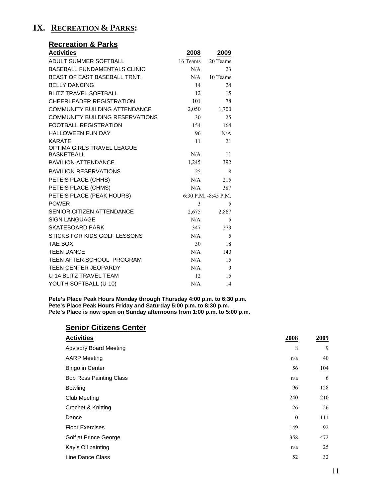# **IX. RECREATION & PARKS:**

| <b>Recreation &amp; Parks</b>                          |          |                      |
|--------------------------------------------------------|----------|----------------------|
| <b>Activities</b>                                      | 2008     | 2009                 |
| ADULT SUMMER SOFTBALL                                  | 16 Teams | 20 Teams             |
| <b>BASEBALL FUNDAMENTALS CLINIC</b>                    | N/A      | 23                   |
| BEAST OF EAST BASEBALL TRNT.                           | N/A      | 10 Teams             |
| <b>BELLY DANCING</b>                                   | 14       | 24                   |
| <b>BLITZ TRAVEL SOFTBALL</b>                           | 12       | 15                   |
| <b>CHEERLEADER REGISTRATION</b>                        | 101      | 78                   |
| <b>COMMUNITY BUILDING ATTENDANCE</b>                   | 2,050    | 1,700                |
| COMMUNITY BUILDING RESERVATIONS                        | 30       | 25                   |
| <b>FOOTBALL REGISTRATION</b>                           | 154      | 164                  |
| <b>HALLOWEEN FUN DAY</b>                               | 96       | N/A                  |
| <b>KARATE</b>                                          | 11       | 21                   |
| <b>OPTIMA GIRLS TRAVEL LEAGUE</b><br><b>BASKETBALL</b> |          |                      |
| <b>PAVILION ATTENDANCE</b>                             | N/A      | 11                   |
|                                                        | 1,245    | 392                  |
| <b>PAVILION RESERVATIONS</b>                           | 25       | 8                    |
| PETE'S PLACE (CHHS)                                    | N/A      | 215                  |
| PETE'S PLACE (CHMS)                                    | N/A      | 387                  |
| PETE'S PLACE (PEAK HOURS)                              |          | 6:30 P.M. -8:45 P.M. |
| <b>POWER</b>                                           | 3        | 5                    |
| <b>SENIOR CITIZEN ATTENDANCE</b>                       | 2,675    | 2,867                |
| <b>SIGN LANGUAGE</b>                                   | N/A      | 5                    |
| <b>SKATEBOARD PARK</b>                                 | 347      | 273                  |
| STICKS FOR KIDS GOLF LESSONS                           | N/A      | 5                    |
| <b>TAE BOX</b>                                         | 30       | 18                   |
| <b>TEEN DANCE</b>                                      | N/A      | 140                  |
| TEEN AFTER SCHOOL PROGRAM                              | N/A      | 15                   |
| TEEN CENTER JEOPARDY                                   | N/A      | 9                    |
| U-14 BLITZ TRAVEL TEAM                                 | 12       | 15                   |
| YOUTH SOFTBALL (U-10)                                  | N/A      | 14                   |

**Pete's Place Peak Hours Monday through Thursday 4:00 p.m. to 6:30 p.m. Pete's Place Peak Hours Friday and Saturday 5:00 p.m. to 8:30 p.m. Pete's Place is now open on Sunday afternoons from 1:00 p.m. to 5:00 p.m.** 

#### **Senior Citizens Center**

| <b>Activities</b>              | 2008     | 2009 |
|--------------------------------|----------|------|
| <b>Advisory Board Meeting</b>  | 8        | 9    |
| <b>AARP</b> Meeting            | n/a      | 40   |
| <b>Bingo in Center</b>         | 56       | 104  |
| <b>Bob Ross Painting Class</b> | n/a      | 6    |
| <b>Bowling</b>                 | 96       | 128  |
| <b>Club Meeting</b>            | 240      | 210  |
| Crochet & Knitting             | 26       | 26   |
| Dance                          | $\theta$ | 111  |
| <b>Floor Exercises</b>         | 149      | 92   |
| Golf at Prince George          | 358      | 472  |
| Kay's Oil painting             | n/a      | 25   |
| Line Dance Class               | 52       | 32   |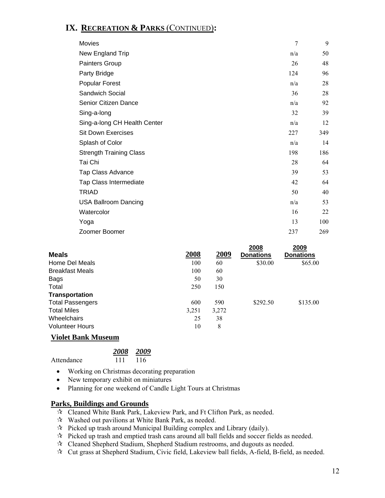# **IX. RECREATION & PARKS** (CONTINUED)**:**

| Movies                         | 7   | 9   |
|--------------------------------|-----|-----|
| New England Trip               | n/a | 50  |
| Painters Group                 | 26  | 48  |
| Party Bridge                   | 124 | 96  |
| Popular Forest                 | n/a | 28  |
| Sandwich Social                | 36  | 28  |
| Senior Citizen Dance           | n/a | 92  |
| Sing-a-long                    | 32  | 39  |
| Sing-a-long CH Health Center   | n/a | 12  |
| <b>Sit Down Exercises</b>      | 227 | 349 |
| Splash of Color                | n/a | 14  |
| <b>Strength Training Class</b> | 198 | 186 |
| Tai Chi                        | 28  | 64  |
| <b>Tap Class Advance</b>       | 39  | 53  |
| Tap Class Intermediate         | 42  | 64  |
| TRIAD                          | 50  | 40  |
| <b>USA Ballroom Dancing</b>    | n/a | 53  |
| Watercolor                     | 16  | 22  |
| Yoga                           | 13  | 100 |
| Zoomer Boomer                  | 237 | 269 |

|                           |       |       | 2008             | 2009             |
|---------------------------|-------|-------|------------------|------------------|
| <b>Meals</b>              | 2008  | 2009  | <b>Donations</b> | <b>Donations</b> |
| Home Del Meals            | 100   | 60    | \$30.00          | \$65.00          |
| <b>Breakfast Meals</b>    | 100   | 60    |                  |                  |
| Bags                      | 50    | 30    |                  |                  |
| Total                     | 250   | 150   |                  |                  |
| <b>Transportation</b>     |       |       |                  |                  |
| <b>Total Passengers</b>   | 600   | 590   | \$292.50         | \$135.00         |
| <b>Total Miles</b>        | 3,251 | 3,272 |                  |                  |
| Wheelchairs               | 25    | 38    |                  |                  |
| <b>Volunteer Hours</b>    | 10    | 8     |                  |                  |
| <b>Violet Bank Museum</b> |       |       |                  |                  |

| 2008 2009 |  |
|-----------|--|

Attendance 111 116 Attendance

- Working on Christmas decorating preparation
- New temporary exhibit on miniatures
- Planning for one weekend of Candle Light Tours at Christmas

#### **Parks, Buildings and Grounds**

- Cleaned White Bank Park, Lakeview Park, and Ft Clifton Park, as needed.
- $\mathcal{R}$  Washed out pavilions at White Bank Park, as needed.
- $\mathcal{R}$  Picked up trash around Municipal Building complex and Library (daily).
- $\mathcal{R}$  Picked up trash and emptied trash cans around all ball fields and soccer fields as needed.
- Cleaned Shepherd Stadium, Shepherd Stadium restrooms, and dugouts as needed.
- $\mathcal{R}$  Cut grass at Shepherd Stadium, Civic field, Lakeview ball fields, A-field, B-field, as needed.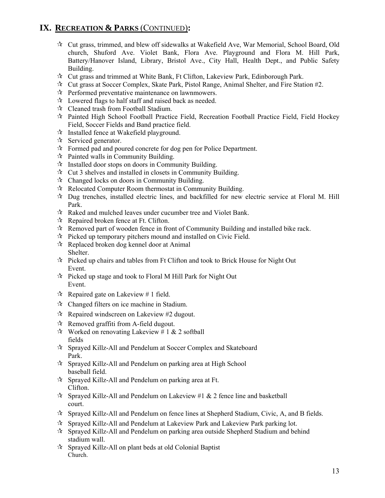# **IX. RECREATION & PARKS** (CONTINUED)**:**

- Cut grass, trimmed, and blew off sidewalks at Wakefield Ave, War Memorial, School Board, Old church, Shuford Ave. Violet Bank, Flora Ave. Playground and Flora M. Hill Park, Battery/Hanover Island, Library, Bristol Ave., City Hall, Health Dept., and Public Safety Building.
- Cut grass and trimmed at White Bank, Ft Clifton, Lakeview Park, Edinborough Park.
- $\mathcal{R}$  Cut grass at Soccer Complex, Skate Park, Pistol Range, Animal Shelter, and Fire Station #2.
- $\mathcal{R}$  Performed preventative maintenance on lawnmowers.
- $\lambda$  Lowered flags to half staff and raised back as needed.
- Cleaned trash from Football Stadium.
- $\mathcal{R}$  Painted High School Football Practice Field, Recreation Football Practice Field, Field Hockey Field, Soccer Fields and Band practice field.
- $\mathcal{A}$  Installed fence at Wakefield playground.
- $\mathbf{\hat{x}}$  Serviced generator.
- $\mathcal{R}$  Formed pad and poured concrete for dog pen for Police Department.
- $\mathcal{R}$  Painted walls in Community Building.
- $\mathcal{R}$  Installed door stops on doors in Community Building.
- $\mathcal{R}$  Cut 3 shelves and installed in closets in Community Building.
- $\mathcal{R}$  Changed locks on doors in Community Building.
- $\mathcal{R}$  Relocated Computer Room thermostat in Community Building.
- $\mathcal{R}$  Dug trenches, installed electric lines, and backfilled for new electric service at Floral M. Hill Park.
- $\lambda$  Raked and mulched leaves under cucumber tree and Violet Bank.
- $\mathcal{R}$  Repaired broken fence at Ft. Clifton.
- $\mathcal{R}$  Removed part of wooden fence in front of Community Building and installed bike rack.
- $\mathcal{R}$  Picked up temporary pitchers mound and installed on Civic Field.
- $\mathcal{R}$  Replaced broken dog kennel door at Animal Shelter.
- $\mathcal{R}$  Picked up chairs and tables from Ft Clifton and took to Brick House for Night Out Event.
- $\mathcal{R}$  Picked up stage and took to Floral M Hill Park for Night Out Event.
- $\mathcal{R}$  Repaired gate on Lakeview # 1 field.
- Changed filters on ice machine in Stadium.
- $\mathcal{R}$  Repaired windscreen on Lakeview #2 dugout.
- $\mathcal{R}$  Removed graffiti from A-field dugout.
- $\mathcal{R}$  Worked on renovating Lakeview # 1 & 2 softball fields
- Sprayed Killz-All and Pendelum at Soccer Complex and Skateboard Park.
- $\hat{\mathcal{R}}$  Sprayed Killz-All and Pendelum on parking area at High School baseball field.
- $\hat{X}$  Sprayed Killz-All and Pendelum on parking area at Ft. Clifton.
- $\hat{\mathbf{x}}$  Sprayed Killz-All and Pendelum on Lakeview #1 & 2 fence line and basketball court.
- $\mathcal{R}$  Sprayed Killz-All and Pendelum on fence lines at Shepherd Stadium, Civic, A, and B fields.
- $\mathcal{R}$  Sprayed Killz-All and Pendelum at Lakeview Park and Lakeview Park parking lot.
- $\mathcal{R}$  Sprayed Killz-All and Pendelum on parking area outside Shepherd Stadium and behind stadium wall.
- $\hat{x}$  Sprayed Killz-All on plant beds at old Colonial Baptist Church.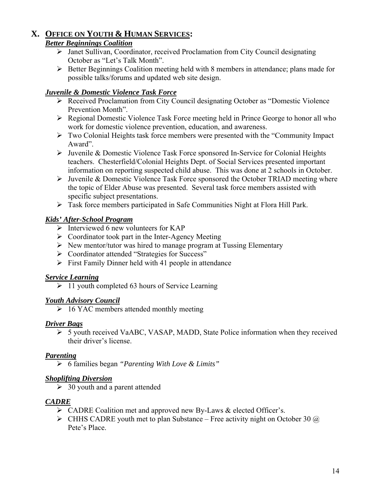# **X. OFFICE ON YOUTH & HUMAN SERVICES:**

# *Better Beginnings Coalition*

- ¾ Janet Sullivan, Coordinator, received Proclamation from City Council designating October as "Let's Talk Month".
- ¾ Better Beginnings Coalition meeting held with 8 members in attendance; plans made for possible talks/forums and updated web site design.

#### *Juvenile & Domestic Violence Task Force*

- ¾ Received Proclamation from City Council designating October as "Domestic Violence Prevention Month".
- ¾ Regional Domestic Violence Task Force meeting held in Prince George to honor all who work for domestic violence prevention, education, and awareness.
- ¾ Two Colonial Heights task force members were presented with the "Community Impact Award".
- ¾ Juvenile & Domestic Violence Task Force sponsored In-Service for Colonial Heights teachers. Chesterfield/Colonial Heights Dept. of Social Services presented important information on reporting suspected child abuse. This was done at 2 schools in October.
- ¾ Juvenile & Domestic Violence Task Force sponsored the October TRIAD meeting where the topic of Elder Abuse was presented. Several task force members assisted with specific subject presentations.
- ¾ Task force members participated in Safe Communities Night at Flora Hill Park.

#### *Kids' After-School Program*

- $\triangleright$  Interviewed 6 new volunteers for KAP
- $\triangleright$  Coordinator took part in the Inter-Agency Meeting
- $\triangleright$  New mentor/tutor was hired to manage program at Tussing Elementary
- ¾ Coordinator attended "Strategies for Success"
- $\triangleright$  First Family Dinner held with 41 people in attendance

#### *Service Learning*

 $\geq 11$  youth completed 63 hours of Service Learning

#### *Youth Advisory Council*

 $\geq 16$  YAC members attended monthly meeting

#### *Driver Bags*

¾ 5 youth received VaABC, VASAP, MADD, State Police information when they received their driver's license.

#### *Parenting*

¾ 6 families began *"Parenting With Love & Limits"* 

#### *Shoplifting Diversion*

 $\geq 30$  youth and a parent attended

#### *CADRE*

- $\triangleright$  CADRE Coalition met and approved new By-Laws & elected Officer's.
- $\triangleright$  CHHS CADRE youth met to plan Substance Free activity night on October 30  $\omega$ Pete's Place.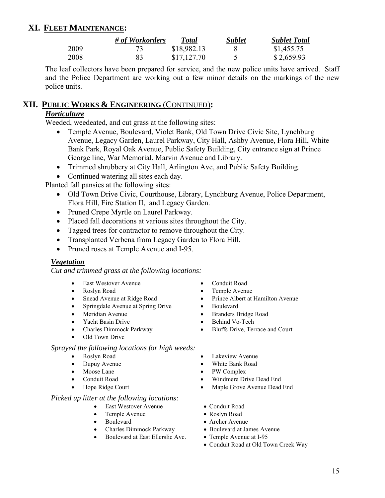# **XI. FLEET MAINTENANCE:**

|      | # of Workorders | Total       | <b>Sublet</b> | <b>Sublet Total</b> |
|------|-----------------|-------------|---------------|---------------------|
| 2009 |                 | \$18,982.13 |               | \$1,455.75          |
| 2008 | 83              | \$17,127.70 |               | \$2,659.93          |

The leaf collectors have been prepared for service, and the new police units have arrived. Staff and the Police Department are working out a few minor details on the markings of the new police units.

#### **XII. PUBLIC WORKS & ENGINEERING** (CONTINUED)**:**

# *Horticulture*

Weeded, weedeated, and cut grass at the following sites:

- Temple Avenue, Boulevard, Violet Bank, Old Town Drive Civic Site, Lynchburg Avenue, Legacy Garden, Laurel Parkway, City Hall, Ashby Avenue, Flora Hill, White Bank Park, Royal Oak Avenue, Public Safety Building, City entrance sign at Prince George line, War Memorial, Marvin Avenue and Library.
- Trimmed shrubbery at City Hall, Arlington Ave, and Public Safety Building.

• Continued watering all sites each day.

Planted fall pansies at the following sites:

- Old Town Drive Civic, Courthouse, Library, Lynchburg Avenue, Police Department, Flora Hill, Fire Station II, and Legacy Garden.
- Pruned Crepe Myrtle on Laurel Parkway.
- Placed fall decorations at various sites throughout the City.
- Tagged trees for contractor to remove throughout the City.
- Transplanted Verbena from Legacy Garden to Flora Hill.
- Pruned roses at Temple Avenue and I-95.

#### *Vegetation*

*Cut and trimmed grass at the following locations:* 

- East Westover Avenue Conduit Road
- Roslyn Road Temple Avenue
- 
- Springdale Avenue at Spring Drive Boulevard
- 
- Yacht Basin Drive Behind Vo-Tech
- 
- Old Town Drive

#### *Sprayed the following locations for high weeds:*

- 
- 
- 
- 
- 

#### *Picked up litter at the following locations:*

- East Westover Avenue Conduit Road
- Temple Avenue Roslyn Road
- 
- Charles Dimmock Parkway Boulevard at James Avenue
- Boulevard at East Ellerslie Ave. Temple Avenue at I-95
- 
- 
- Snead Avenue at Ridge Road Prince Albert at Hamilton Avenue
	-
- Meridian Avenue Branders Bridge Road
	-
- Charles Dimmock Parkway Bluffs Drive, Terrace and Court
- Roslyn Road Lakeview Avenue
- Dupuy Avenue White Bank Road
- Moose Lane PW Complex
- Conduit Road Windmere Drive Dead End
	- Hope Ridge Court Maple Grove Avenue Dead End
		-
		-
		- Boulevard Archer Avenue
			-
			-
			- Conduit Road at Old Town Creek Way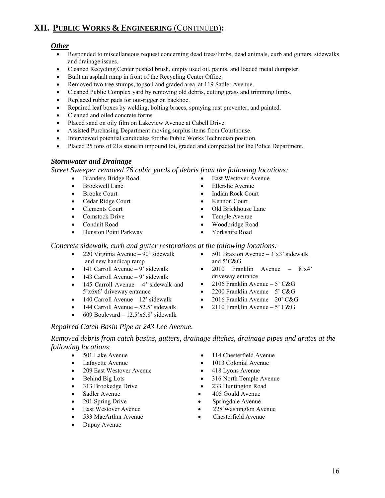• 2010 Franklin Avenue – 8'x4' driveway entrance

- 
- 2106 Franklin Avenue 5' C&G
- 
- 
- 2200 Franklin Avenue 5' C&G
- 2016 Franklin Avenue  $20'$  C&G
- 2110 Franklin Avenue 5'  $C&G$
- 
- 
- Ellerslie Avenue • Indian Rock Court • Kennon Court
- 

# *Stormwater and Drainage*

*Street Sweeper removed 76 cubic yards of debris from the following locations:* 

- Branders Bridge Road
- Brockwell Lane
- Brooke Court
- Cedar Ridge Court
- Clements Court
- Comstock Drive
- Conduit Road
- Dunston Point Parkway
- *Concrete sidewalk, curb and gutter restorations at the following locations:*  501 Braxton Avenue –  $3'x3'$  sidewalk
	- 220 Virginia Avenue 90' sidewalk and new handicap ramp
	- $\bullet$  141 Carroll Avenue 9' sidewalk
	- $\bullet$  143 Carroll Avenue 9' sidewalk
	- 145 Carroll Avenue 4' sidewalk and 5'x6x6' driveway entrance
	- $\bullet$  140 Carroll Avenue 12' sidewalk
	- 144 Carroll Avenue 52.5' sidewalk
	- 609 Boulevard 12.5'x5.8' sidewalk

# *Repaired Catch Basin Pipe at 243 Lee Avenue.*

*Removed debris from catch basins, gutters, drainage ditches, drainage pipes and grates at the following locations*:

- 
- 
- 209 East Westover Avenue 418 Lyons Avenue
- 
- 
- 
- 
- 
- 
- Dupuy Avenue
- Old Brickhouse Lane
	-
	- Temple Avenue

• East Westover Avenue

- Woodbridge Road
- Yorkshire Road

and 5'C&G

# **XII. PUBLIC WORKS & ENGINEERING** (CONTINUED)**:**

# *Other*

- Responded to miscellaneous request concerning dead trees/limbs, dead animals, curb and gutters, sidewalks and drainage issues.
- Cleaned Recycling Center pushed brush, empty used oil, paints, and loaded metal dumpster.
- Built an asphalt ramp in front of the Recycling Center Office.
- Removed two tree stumps, topsoil and graded area, at 119 Sadler Avenue.
- Cleaned Public Complex yard by removing old debris, cutting grass and trimming limbs.
- Replaced rubber pads for out-rigger on backhoe.
- Repaired leaf boxes by welding, bolting braces, spraying rust preventer, and painted.
- Cleaned and oiled concrete forms
- Placed sand on oily film on Lakeview Avenue at Cabell Drive.
- Assisted Purchasing Department moving surplus items from Courthouse.
- Interviewed potential candidates for the Public Works Technician position.
- Placed 25 tons of 21a stone in impound lot, graded and compacted for the Police Department.

- -
- 501 Lake Avenue 114 Chesterfield Avenue
- Lafayette Avenue 1013 Colonial Avenue
	-
- Behind Big Lots 316 North Temple Avenue
- 313 Brookedge Drive 233 Huntington Road
- Sadler Avenue 405 Gould Avenue
	- 201 Spring Drive Springdale Avenue
	- East Westover Avenue 228 Washington Avenue
	- 533 MacArthur Avenue Chesterfield Avenue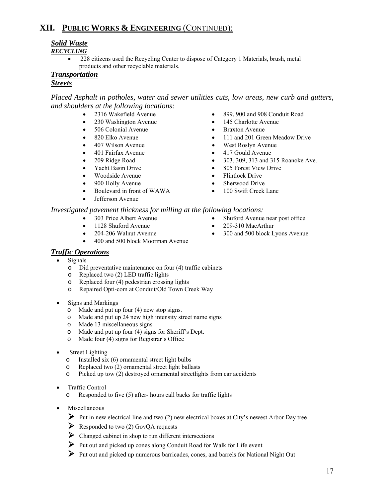# *Solid Waste*

*RECYCLING*

• 228 citizens used the Recycling Center to dispose of Category 1 Materials, brush, metal products and other recyclable materials.

#### *Transportation Streets*

*Placed Asphalt in potholes, water and sewer utilities cuts, low areas, new curb and gutters, and shoulders at the following locations:* 

- 
- 
- 506 Colonial Avenue Braxton Avenue
- 
- 
- 
- 
- Yacht Basin Drive
- Woodside Avenue
- 900 Holly Avenue
- Boulevard in front of WAWA
- Jefferson Avenue
- 2316 Wakefield Avenue 899, 900 and 908 Conduit Road
	- 230 Washington Avenue 145 Charlotte Avenue
		-
- 820 Elko Avenue 111 and 201 Green Meadow Drive
	- 407 Wilson Avenue West Roslyn Avenue
	- 401 Fairfax Avenue 417 Gould Avenue
	- 209 Ridge Road 303, 309, 313 and 315 Roanoke Ave.
		- 805 Forest View Drive
		- Flintlock Drive
		- Sherwood Drive
		- 100 Swift Creek Lane

*Investigated pavement thickness for milling at the following locations:* 

- 303 Price Albert Avenue Shuford Avenue near post office
- 1128 Shuford Avenue 209-310 MacArthur
- 
- 
- 204-206 Walnut Avenue 300 and 500 block Lyons Avenue
- 400 and 500 block Moorman Avenue

#### *Traffic Operations*

- Signals
	- o Did preventative maintenance on four (4) traffic cabinets<br>  $\circ$  Replaced two (2) LED traffic lights
	- Replaced two  $(2)$  LED traffic lights
	- o Replaced four (4) pedestrian crossing lights
	- o Repaired Opti-com at Conduit/Old Town Creek Way
- Signs and Markings
	- o Made and put up four (4) new stop signs.
	- o Made and put up 24 new high intensity street name signs
	- o Made 13 miscellaneous signs
	- o Made and put up four (4) signs for Sheriff's Dept.
	- o Made four (4) signs for Registrar's Office
- **Street Lighting** 
	- o Installed six (6) ornamental street light bulbs
	- o Replaced two (2) ornamental street light ballasts
	- o Picked up tow (2) destroyed ornamental streetlights from car accidents
- Traffic Control
	- o Responded to five (5) after- hours call backs for traffic lights
- **Miscellaneous** 
	- ¾ Put in new electrical line and two (2) new electrical boxes at City's newest Arbor Day tree
	- $\triangleright$  Responded to two (2) GovOA requests
	- $\triangleright$  Changed cabinet in shop to run different intersections
	- ¾ Put out and picked up cones along Conduit Road for Walk for Life event
	- ¾ Put out and picked up numerous barricades, cones, and barrels for National Night Out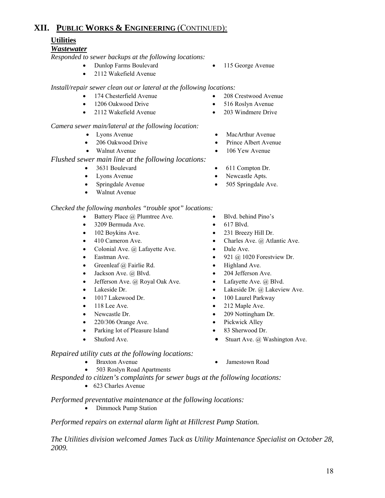# **Utilities**

#### *Wastewater*

*Responded to sewer backups at the following locations:*

- Dunlop Farms Boulevard 115 George Avenue
- 

• 2112 Wakefield Avenue

*Install/repair sewer clean out or lateral at the following locations:* 

- 174 Chesterfield Avenue 208 Crestwood Avenue
- 1206 Oakwood Drive 516 Roslyn Avenue
- 2112 Wakefield Avenue 203 Windmere Drive

#### *Camera sewer main/lateral at the following location:*

- Lyons Avenue MacArthur Avenue
- 
- 

#### *Flushed sewer main line at the following locations:*

- 
- 
- 
- Walnut Avenue

#### *Checked the following manholes "trouble spot" locations:*

- Battery Place @ Plumtree Ave. Blvd. behind Pino's
- 3209 Bermuda Ave. 617 Blvd.
- 
- 
- Colonial Ave. @ Lafayette Ave. Dale Ave.
- 
- Greenleaf @ Fairlie Rd. Highland Ave.
- 
- Jefferson Ave. @ Royal Oak Ave. Lafayette Ave. @ Blvd.
- 
- 
- 
- 
- 220/306 Orange Ave. Pickwick Alley
- Parking lot of Pleasure Island 83 Sherwood Dr.
- 
- *Repaired utility cuts at the following locations:* 
	-
	- 503 Roslyn Road Apartment*s*
- *Responded to citizen's complaints for sewer bugs at the following locations:* 
	- 623 Charles Avenue

#### *Performed preventative maintenance at the following locations:*

• Dimmock Pump Station

*Performed repairs on external alarm light at Hillcrest Pump Station.* 

*The Utilities division welcomed James Tuck as Utility Maintenance Specialist on October 28, 2009.*

- 206 Oakwood Drive Prince Albert Avenue
- Walnut Avenue 106 Yew Avenue
- 3631 Boulevard 611 Compton Dr.
- Lyons Avenue Newcastle Apts.
- Springdale Avenue 505 Springdale Ave.
	-
	-
- 102 Boykins Ave. 231 Breezy Hill Dr.
- 410 Cameron Ave. Charles Ave. @ Atlantic Ave.
	-
	- **Eastman Ave.** 921 @ 1020 Forestview Dr.
		-
	- Jackson Ave. @ Blvd. 204 Jefferson Ave.
		-
- Lakeside Dr. Lakeside Dr. @ Lakeside Dr. @ Lakeview Ave.
	- 1017 Lakewood Dr. 100 Laurel Parkway
	- 118 Lee Ave. 212 Maple Ave.
- Newcastle Dr. 209 Nottingham Dr.
	-
	-
	- Stuart Ave. Stuart Ave. @ Washington Ave.

• Braxton Avenue • Jamestown Road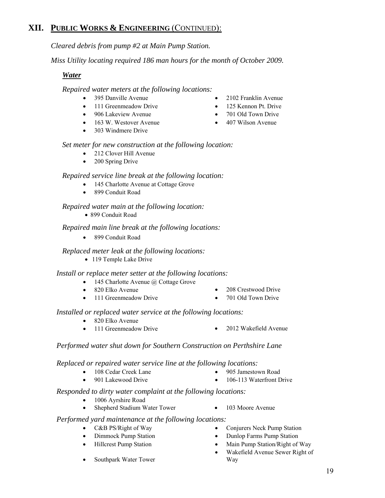*Cleared debris from pump #2 at Main Pump Station.* 

*Miss Utility locating required 186 man hours for the month of October 2009.* 

#### *Water*

*Repaired water meters at the following locations:* 

- 
- 111 Greenmeadow Drive 125 Kennon Pt. Drive
- 906 Lakeview Avenue 701 Old Town Drive
- 163 W. Westover Avenue 407 Wilson Avenue
- 303 Windmere Drive
- 395 Danville Avenue 2102 Franklin Avenue
	-
	-
	-

## *Set meter for new construction at the following location:*

- 212 Clover Hill Avenue
- 200 Spring Drive

#### *Repaired service line break at the following location:*

- 145 Charlotte Avenue at Cottage Grove
- 899 Conduit Road

#### *Repaired water main at the following location:*

• 899 Conduit Road

#### *Repaired main line break at the following locations:*

• 899 Conduit Road

#### *Replaced meter leak at the following locations:*

• 119 Temple Lake Drive

#### *Install or replace meter setter at the following locations:*

- 145 Charlotte Avenue  $\omega$  Cottage Grove
- 
- 
- 

#### *Installed or replaced water service at the following locations:*

- 820 Elko Avenue
- 111 Greenmeadow Drive 2012 Wakefield Avenue

#### *Performed water shut down for Southern Construction on Perthshire Lane*

*Replaced or repaired water service line at the following locations:* 

- 108 Cedar Creek Lane 905 Jamestown Road
- 901 Lakewood Drive 106-113 Waterfront Drive
- 

#### *Responded to dirty water complaint at the following locations:*

- 1006 Ayrshire Road
- Shepherd Stadium Water Tower 103 Moore Avenue

#### *Performed yard maintenance at the following locations:*

- 
- 
- 
- C&B PS/Right of Way Conjurers Neck Pump Station
- Dimmock Pump Station Dunlop Farms Pump Station
	- Hillcrest Pump Station Main Pump Station/Right of Way
		- Wakefield Avenue Sewer Right of Way

Southpark Water Tower

- 
- 820 Elko Avenue 208 Crestwood Drive
- 111 Greenmeadow Drive 701 Old Town Drive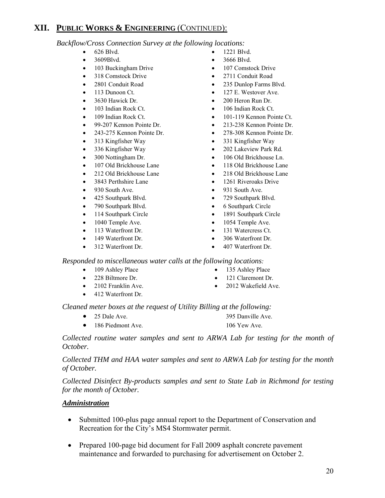*Backflow/Cross Connection Survey at the following locations:* 

- 
- 
- 
- 
- 
- 
- 
- 
- 
- 
- 
- 313 Kingfisher Way 331 Kingfisher Way
- 
- 
- 
- 
- 
- 
- 
- 790 Southpark Blvd. 6 Southpark Circle
- 
- 
- 
- 
- 312 Waterfront Dr. 407 Waterfront Dr.
- 626 Blvd. 1221 Blvd.
- 3609Blvd. 3666 Blvd.
	- 103 Buckingham Drive 107 Comstock Drive
	- 318 Comstock Drive 2711 Conduit Road
	- 2801 Conduit Road 235 Dunlop Farms Blvd.
	- 113 Dunoon Ct. **•** 127 E. Westover Ave.
	- 3630 Hawick Dr. 200 Heron Run Dr.
	- 103 Indian Rock Ct. **•** 106 Indian Rock Ct.
- 109 Indian Rock Ct. 101-119 Kennon Pointe Ct.
	- 99-207 Kennon Pointe Dr. 213-238 Kennon Pointe Dr.
	- 243-275 Kennon Pointe Dr. 278-308 Kennon Pointe Dr.
		-
	- 336 Kingfisher Way 202 Lakeview Park Rd.
	- 300 Nottingham Dr. 106 Old Brickhouse Ln.
	- 107 Old Brickhouse Lane 118 Old Brickhouse Lane
	- 212 Old Brickhouse Lane 218 Old Brickhouse Lane
	- 3843 Perthshire Lane 1261 Riveroaks Drive
- 930 South Ave. 931 South Ave.
	- 425 Southpark Blvd. 729 Southpark Blvd.
		-
- 114 Southpark Circle 1891 Southpark Circle
	- 1040 Temple Ave. 1054 Temple Ave.
	- 113 Waterfront Dr. 131 Watercress Ct.
	- 149 Waterfront Dr. 306 Waterfront Dr.
		-

*Responded to miscellaneous water calls at the following locations:* 

- 
- 
- 412 Waterfront Dr.
- 109 Ashley Place 135 Ashley Place
- 228 Biltmore Dr. 121 Claremont Dr.
	- 2102 Franklin Ave. 2012 Wakefield Ave.

*Cleaned meter boxes at the request of Utility Billing at the following:* 

- 25 Dale Ave. 395 Danville Ave.
- 186 Piedmont Ave. 106 Yew Ave.

*Collected routine water samples and sent to ARWA Lab for testing for the month of October.* 

*Collected THM and HAA water samples and sent to ARWA Lab for testing for the month of October.* 

*Collected Disinfect By-products samples and sent to State Lab in Richmond for testing for the month of October.* 

#### *Administration*

- Submitted 100-plus page annual report to the Department of Conservation and Recreation for the City's MS4 Stormwater permit.
- Prepared 100-page bid document for Fall 2009 asphalt concrete pavement maintenance and forwarded to purchasing for advertisement on October 2.